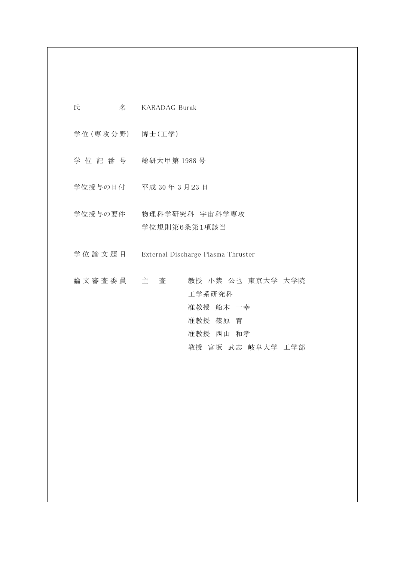| 氏<br>名              | <b>KARADAG Burak</b>                                              |
|---------------------|-------------------------------------------------------------------|
| 学位(専攻分野) 博士(工学)     |                                                                   |
|                     | 学位記番号 総研大甲第1988号                                                  |
|                     | 学位授与の日付 平成 30年3月23日                                               |
| 学位授与の要件             | 物理科学研究科 宇宙科学専攻<br>学位規則第6条第1項該当                                    |
| 学 位 論 文 題 目         | External Discharge Plasma Thruster                                |
| 論 文 審 査 委 員 て 主 工 査 | 教授 小紫 公也 東京大学 大学院<br>工学系研究科<br>准教授 船木 一幸<br>准教授 篠原 育<br>准教授 西山 和孝 |
|                     | 教授 宮坂 武志 岐阜大学 工学部                                                 |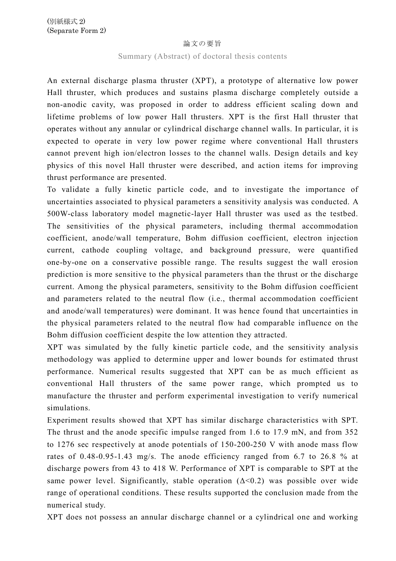## 論文の要旨

## Summary (Abstract) of doctoral thesis contents

An external discharge plasma thruster (XPT), a prototype of alternative low power Hall thruster, which produces and sustains plasma discharge completely outside a non-anodic cavity, was proposed in order to address efficient scaling down and lifetime problems of low power Hall thrusters. XPT is the first Hall thruster that operates without any annular or cylindrical discharge channel walls. In particular, it is expected to operate in very low power regime where conventional Hall thrusters cannot prevent high ion/electron losses to the channel walls. Design details and key physics of this novel Hall thruster were described, and action items for improving thrust performance are presented.

To validate a fully kinetic particle code, and to investigate the importance of uncertainties associated to physical parameters a sensitivity analysis was conducted. A 500W-class laboratory model magnetic-layer Hall thruster was used as the testbed. The sensitivities of the physical parameters, including thermal accommodation coefficient, anode/wall temperature, Bohm diffusion coefficient, electron injection current, cathode coupling voltage, and background pressure, were quantified one-by-one on a conservative possible range. The results suggest the wall erosion prediction is more sensitive to the physical parameters than the thrust or the discharge current. Among the physical parameters, sensitivity to the Bohm diffusion coefficient and parameters related to the neutral flow (i.e., thermal accommodation coefficient and anode/wall temperatures) were dominant. It was hence found that uncertainties in the physical parameters related to the neutral flow had comparable influence on the Bohm diffusion coefficient despite the low attention they attracted.

XPT was simulated by the fully kinetic particle code, and the sensitivity analysis methodology was applied to determine upper and lower bounds for estimated thrust performance. Numerical results suggested that XPT can be as much efficient as conventional Hall thrusters of the same power range, which prompted us to manufacture the thruster and perform experimental investigation to verify numerical simulations.

Experiment results showed that XPT has similar discharge characteristics with SPT. The thrust and the anode specific impulse ranged from 1.6 to 17.9 mN, and from 352 to 1276 sec respectively at anode potentials of 150-200-250 V with anode mass flow rates of 0.48-0.95-1.43 mg/s. The anode efficiency ranged from 6.7 to 26.8 % at discharge powers from 43 to 418 W. Performance of XPT is comparable to SPT at the same power level. Significantly, stable operation  $(\Delta < 0.2)$  was possible over wide range of operational conditions. These results supported the conclusion made from the numerical study.

XPT does not possess an annular discharge channel or a cylindrical one and working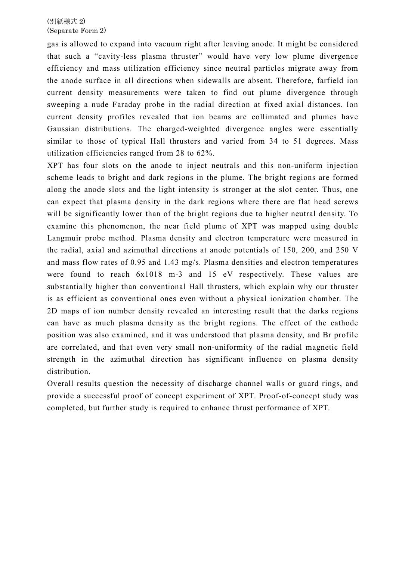gas is allowed to expand into vacuum right after leaving anode. It might be considered that such a "cavity-less plasma thruster" would have very low plume divergence efficiency and mass utilization efficiency since neutral particles migrate away from the anode surface in all directions when sidewalls are absent. Therefore, farfield ion current density measurements were taken to find out plume divergence through sweeping a nude Faraday probe in the radial direction at fixed axial distances. Ion current density profiles revealed that ion beams are collimated and plumes have Gaussian distributions. The charged-weighted divergence angles were essentially similar to those of typical Hall thrusters and varied from 34 to 51 degrees. Mass utilization efficiencies ranged from 28 to 62%.

XPT has four slots on the anode to inject neutrals and this non-uniform injection scheme leads to bright and dark regions in the plume. The bright regions are formed along the anode slots and the light intensity is stronger at the slot center. Thus, one can expect that plasma density in the dark regions where there are flat head screws will be significantly lower than of the bright regions due to higher neutral density. To examine this phenomenon, the near field plume of XPT was mapped using double Langmuir probe method. Plasma density and electron temperature were measured in the radial, axial and azimuthal directions at anode potentials of 150, 200, and 250 V and mass flow rates of 0.95 and 1.43 mg/s. Plasma densities and electron temperatures were found to reach 6x1018 m-3 and 15 eV respectively. These values are substantially higher than conventional Hall thrusters, which explain why our thruster is as efficient as conventional ones even without a physical ionization chamber. The 2D maps of ion number density revealed an interesting result that the darks regions can have as much plasma density as the bright regions. The effect of the cathode position was also examined, and it was understood that plasma density, and Br profile are correlated, and that even very small non-uniformity of the radial magnetic field strength in the azimuthal direction has significant influence on plasma density distribution.

Overall results question the necessity of discharge channel walls or guard rings, and provide a successful proof of concept experiment of XPT. Proof-of-concept study was completed, but further study is required to enhance thrust performance of XPT.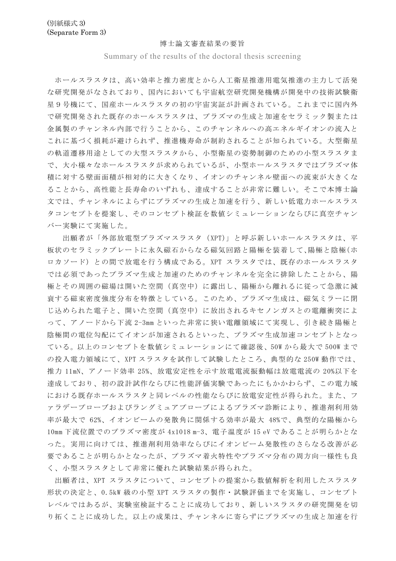#### 博士論文審査結果の要旨

Summary of the results of the doctoral thesis screening

ホールスラスタは、高い効率と推力密度とから人工衛星推進用電気推進の主力して活発 な研究開発がなされており、国内においても宇宙航空研究開発機構が開発中の技術試験衛 星9号機にて、国産ホールスラスタの初の宇宙実証が計画されている。これまでに国内外 で研究開発された既存のホールスラスタは、プラズマの生成と加速をセラミック製または 金属製のチャンネル内部で行うことから、このチャンネルへの高エネルギイオンの流入と これに基づく損耗が避けられず、推進機寿命が制約されることが知られている。大型衛星 の軌道遷移用途としての大型スラスタから、小型衛星の姿勢制御のための小型スラスタま で、大小様々なホールスラスタが求められているが、小型ホールスラスタではプラズマ体 積に対する壁面面積が相対的に大きくなり、イオンのチャンネル壁面への流束が大きくな ることから、高性能と長寿命のいずれも、達成することが非常に難しい。そこで本博士論 文では、チャンネルによらずにプラズマの生成と加速を行う、新しい低電力ホールスラス タコンセプトを提案し、そのコンセプト検証を数値シミュレーションならびに真空チャン バー実験にて実施した。

 出願者が「外部放電型プラズマスラスタ(XPT)」と呼ぶ新しいホールスラスタは、平 板状のセラミックプレートに永久磁石からなる磁気回路と陽極を装着して、陽極と陰極(ホ ロカソード)との間で放電を行う構成である。XPT スラスタでは、既存のホールスラスタ では必須であったプラズマ生成と加速のためのチャンネルを完全に排除したことから、陽 極とその周囲の磁場は開いた空間(真空中)に露出し、陽極から離れるに従って急激に減 衰する磁束密度強度分布を特徴としている。このため、プラズマ生成は、磁気ミラーに閉 じ込められた電子と、開いた空間(真空中)に放出されるキセノンガスとの電離衝突によ って、アノードから下流 2-3mm といった非常に狭い電離領域にて実現し、引き続き陽極と 陰極間の電位勾配にてイオンが加速されるといった、プラズマ生成加速コンセプトとなっ ている。以上のコンセプトを数値シミュレーションにて確認後、50W から最大で 500W まで の投入電力領域にて、XPT スラスタを試作して試験したところ、典型的な 250W 動作では、 推力 11mN、アノード効率 25%、放電安定性を示す放電電流振動幅は放電電流の 20%以下を 達成しており、初の設計試作ならびに性能評価実験であったにもかかわらず、この電力域 における既存ホールスラスタと同レベルの性能ならびに放電安定性が得られた。また、フ ァラデープローブおよびラングミュアプローブによるプラズマ診断により、推進剤利用効 率が最大で 62%、イオンビームの発散角に関係する効率が最大 48%で、典型的な陽極から 10mm 下流位置でのプラズマ密度が 4x1018 m-3、電子温度が 15 eV であることが明らかとな った。実用に向けては、推進剤利用効率ならびにイオンビーム発散性のさらなる改善が必 要であることが明らかとなったが、プラズマ着火特性やプラズマ分布の周方向一様性も良 く、小型スラスタとして非常に優れた試験結果が得られた。

出願者は、XPT スラスタについて、コンセプトの提案から数値解析を利用したスラスタ 形状の決定と、0.5kW 級の小型 XPT スラスタの製作・試験評価までを実施し、コンセプト レベルではあるが、実験室検証することに成功しており、新しいスラスタの研究開発を切 り拓くことに成功した。以上の成果は、チャンネルに寄らずにプラズマの生成と加速を行